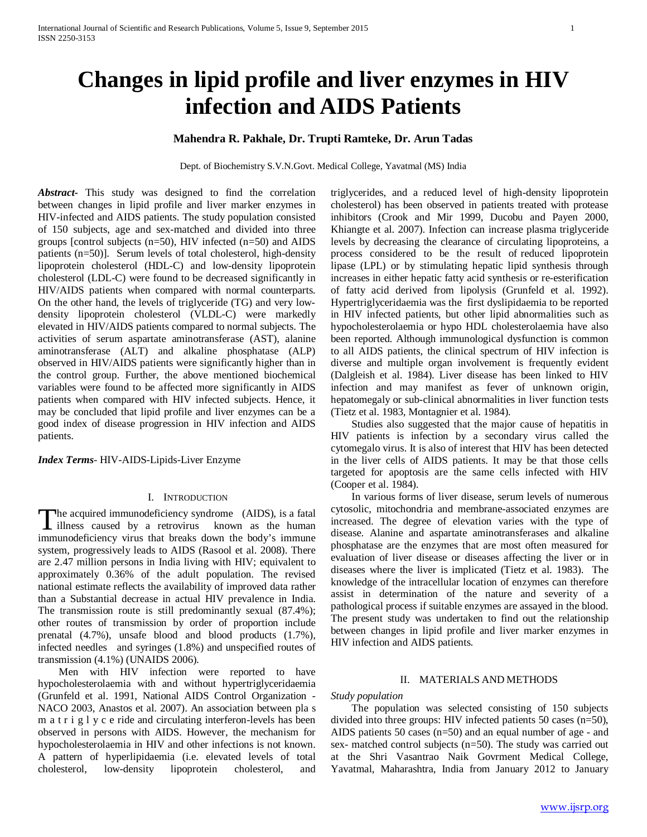# **Changes in lipid profile and liver enzymes in HIV infection and AIDS Patients**

## **Mahendra R. Pakhale, Dr. Trupti Ramteke, Dr. Arun Tadas**

Dept. of Biochemistry S.V.N.Govt. Medical College, Yavatmal (MS) India

*Abstract***-** This study was designed to find the correlation between changes in lipid profile and liver marker enzymes in HIV-infected and AIDS patients. The study population consisted of 150 subjects, age and sex-matched and divided into three groups [control subjects (n=50), HIV infected (n=50) and AIDS patients (n=50)]. Serum levels of total cholesterol, high-density lipoprotein cholesterol (HDL-C) and low-density lipoprotein cholesterol (LDL-C) were found to be decreased significantly in HIV/AIDS patients when compared with normal counterparts. On the other hand, the levels of triglyceride (TG) and very lowdensity lipoprotein cholesterol (VLDL-C) were markedly elevated in HIV/AIDS patients compared to normal subjects. The activities of serum aspartate aminotransferase (AST), alanine aminotransferase (ALT) and alkaline phosphatase (ALP) observed in HIV/AIDS patients were significantly higher than in the control group. Further, the above mentioned biochemical variables were found to be affected more significantly in AIDS patients when compared with HIV infected subjects. Hence, it may be concluded that lipid profile and liver enzymes can be a good index of disease progression in HIV infection and AIDS patients.

*Index Terms*- HIV-AIDS-Lipids-Liver Enzyme

#### I. INTRODUCTION

he acquired immunodeficiency syndrome (AIDS), is a fatal The acquired immunodeficiency syndrome (AIDS), is a fatal<br>illness caused by a retrovirus known as the human immunodeficiency virus that breaks down the body's immune system, progressively leads to AIDS (Rasool et al. 2008). There are 2.47 million persons in India living with HIV; equivalent to approximately 0.36% of the adult population. The revised national estimate reflects the availability of improved data rather than a Substantial decrease in actual HIV prevalence in India. The transmission route is still predominantly sexual (87.4%); other routes of transmission by order of proportion include prenatal (4.7%), unsafe blood and blood products (1.7%), infected needles and syringes (1.8%) and unspecified routes of transmission (4.1%) (UNAIDS 2006).

 Men with HIV infection were reported to have hypocholesterolaemia with and without hypertriglyceridaemia (Grunfeld et al. 1991, National AIDS Control Organization - NACO 2003, Anastos et al. 2007). An association between pla s m a t r i g l y c e ride and circulating interferon-levels has been observed in persons with AIDS. However, the mechanism for hypocholesterolaemia in HIV and other infections is not known. A pattern of hyperlipidaemia (i.e. elevated levels of total cholesterol, low-density lipoprotein cholesterol, and triglycerides, and a reduced level of high-density lipoprotein cholesterol) has been observed in patients treated with protease inhibitors (Crook and Mir 1999, Ducobu and Payen 2000, Khiangte et al. 2007). Infection can increase plasma triglyceride levels by decreasing the clearance of circulating lipoproteins, a process considered to be the result of reducedlipoprotein lipase (LPL) or by stimulating hepatic lipid synthesis through increases in either hepatic fatty acid synthesis or re-esterification of fatty acid derived from lipolysis (Grunfeld et al. 1992). Hypertriglyceridaemia was the first dyslipidaemia to be reported in HIV infected patients, but other lipid abnormalities such as hypocholesterolaemia or hypo HDL cholesterolaemia have also been reported. Although immunological dysfunction is common to all AIDS patients, the clinical spectrum of HIV infection is diverse and multiple organ involvement is frequently evident (Dalgleish et al. 1984). Liver disease has been linked to HIV infection and may manifest as fever of unknown origin, hepatomegaly or sub-clinical abnormalities in liver function tests (Tietz et al. 1983, Montagnier et al. 1984).

 Studies also suggested that the major cause of hepatitis in HIV patients is infection by a secondary virus called the cytomegalo virus. It is also of interest that HIV has been detected in the liver cells of AIDS patients. It may be that those cells targeted for apoptosis are the same cells infected with HIV (Cooper et al. 1984).

 In various forms of liver disease, serum levels of numerous cytosolic, mitochondria and membrane-associated enzymes are increased. The degree of elevation varies with the type of disease. Alanine and aspartate aminotransferases and alkaline phosphatase are the enzymes that are most often measured for evaluation of liver disease or diseases affecting the liver or in diseases where the liver is implicated (Tietz et al. 1983). The knowledge of the intracellular location of enzymes can therefore assist in determination of the nature and severity of a pathological process if suitable enzymes are assayed in the blood. The present study was undertaken to find out the relationship between changes in lipid profile and liver marker enzymes in HIV infection and AIDS patients.

## II. MATERIALS AND METHODS

*Study population*

 The population was selected consisting of 150 subjects divided into three groups: HIV infected patients 50 cases (n=50), AIDS patients 50 cases (n=50) and an equal number of age - and sex- matched control subjects (n=50). The study was carried out at the Shri Vasantrao Naik Govrment Medical College, Yavatmal, Maharashtra, India from January 2012 to January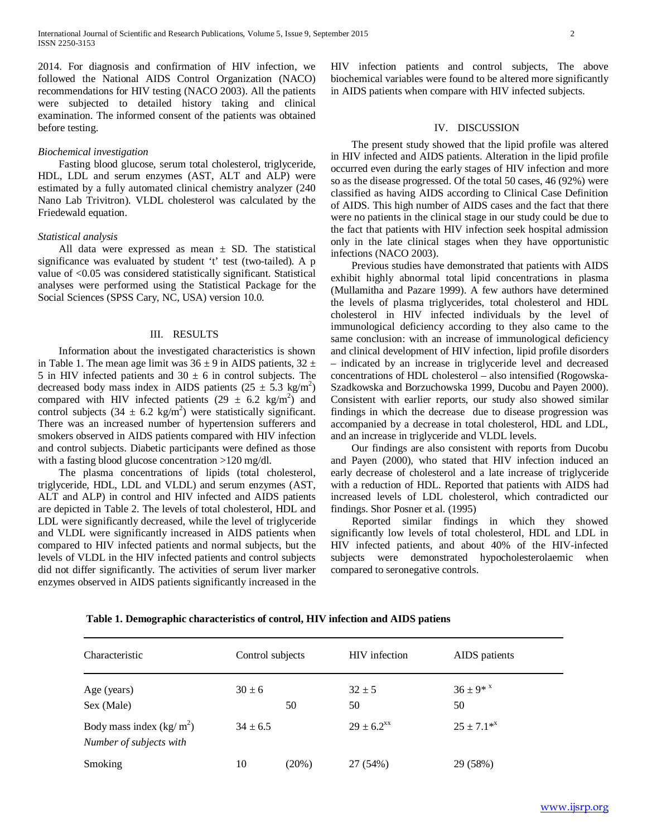2014. For diagnosis and confirmation of HIV infection, we followed the National AIDS Control Organization (NACO) recommendations for HIV testing (NACO 2003). All the patients were subjected to detailed history taking and clinical examination. The informed consent of the patients was obtained before testing.

#### *Biochemical investigation*

 Fasting blood glucose, serum total cholesterol, triglyceride, HDL, LDL and serum enzymes (AST, ALT and ALP) were estimated by a fully automated clinical chemistry analyzer (240 Nano Lab Trivitron). VLDL cholesterol was calculated by the Friedewald equation.

## *Statistical analysis*

All data were expressed as mean  $\pm$  SD. The statistical significance was evaluated by student 't' test (two-tailed). A p value of <0.05 was considered statistically significant. Statistical analyses were performed using the Statistical Package for the Social Sciences (SPSS Cary, NC, USA) version 10.0.

## III. RESULTS

 Information about the investigated characteristics is shown in Table 1. The mean age limit was  $36 \pm 9$  in AIDS patients,  $32 \pm 1$ 5 in HIV infected patients and  $30 \pm 6$  in control subjects. The decreased body mass index in AIDS patients  $(25 \pm 5.3 \text{ kg/m}^2)$ compared with HIV infected patients  $(29 \pm 6.2 \text{ kg/m}^2)$  and control subjects  $(34 \pm 6.2 \text{ kg/m}^2)$  were statistically significant. There was an increased number of hypertension sufferers and smokers observed in AIDS patients compared with HIV infection and control subjects. Diabetic participants were defined as those with a fasting blood glucose concentration >120 mg/dl.

 The plasma concentrations of lipids (total cholesterol, triglyceride, HDL, LDL and VLDL) and serum enzymes (AST, ALT and ALP) in control and HIV infected and AIDS patients are depicted in Table 2. The levels of total cholesterol, HDL and LDL were significantly decreased, while the level of triglyceride and VLDL were significantly increased in AIDS patients when compared to HIV infected patients and normal subjects, but the levels of VLDL in the HIV infected patients and control subjects did not differ significantly. The activities of serum liver marker enzymes observed in AIDS patients significantly increased in the HIV infection patients and control subjects, The above biochemical variables were found to be altered more significantly in AIDS patients when compare with HIV infected subjects.

#### IV. DISCUSSION

 The present study showed that the lipid profile was altered in HIV infected and AIDS patients. Alteration in the lipid profile occurred even during the early stages of HIV infection and more so as the disease progressed. Of the total 50 cases, 46 (92%) were classified as having AIDS according to Clinical Case Definition of AIDS. This high number of AIDS cases and the fact that there were no patients in the clinical stage in our study could be due to the fact that patients with HIV infection seek hospital admission only in the late clinical stages when they have opportunistic infections (NACO 2003).

 Previous studies have demonstrated that patients with AIDS exhibit highly abnormal total lipid concentrations in plasma (Mullamitha and Pazare 1999). A few authors have determined the levels of plasma triglycerides, total cholesterol and HDL cholesterol in HIV infected individuals by the level of immunological deficiency according to they also came to the same conclusion: with an increase of immunological deficiency and clinical development of HIV infection, lipid profile disorders – indicated by an increase in triglyceride level and decreased concentrations of HDL cholesterol – also intensified (Rogowska-Szadkowska and Borzuchowska 1999, Ducobu and Payen 2000). Consistent with earlier reports, our study also showed similar findings in which the decrease due to disease progression was accompanied by a decrease in total cholesterol, HDL and LDL, and an increase in triglyceride and VLDL levels.

 Our findings are also consistent with reports from Ducobu and Payen (2000), who stated that HIV infection induced an early decrease of cholesterol and a late increase of triglyceride with a reduction of HDL. Reported that patients with AIDS had increased levels of LDL cholesterol, which contradicted our findings. Shor Posner et al. (1995)

 Reported similar findings in which they showed significantly low levels of total cholesterol, HDL and LDL in HIV infected patients, and about 40% of the HIV-infected subjects were demonstrated hypocholesterolaemic when compared to seronegative controls.

| Characteristic                                        | Control subjects |          |                  | <b>HIV</b> infection |  | AIDS patients                  |  |
|-------------------------------------------------------|------------------|----------|------------------|----------------------|--|--------------------------------|--|
| Age (years)<br>Sex (Male)                             | $30 \pm 6$       | 50       | $32 \pm 5$<br>50 |                      |  | $36 \pm 9*$ <sup>x</sup><br>50 |  |
| Body mass index $(kg/m^2)$<br>Number of subjects with | $34 \pm 6.5$     |          |                  | $29 \pm 6.2^{xx}$    |  | $25 + 7.1^{*x}$                |  |
| Smoking                                               | 10               | $(20\%)$ |                  | 27 (54%)             |  | 29 (58%)                       |  |

**Table 1. Demographic characteristics of control, HIV infection and AIDS patiens**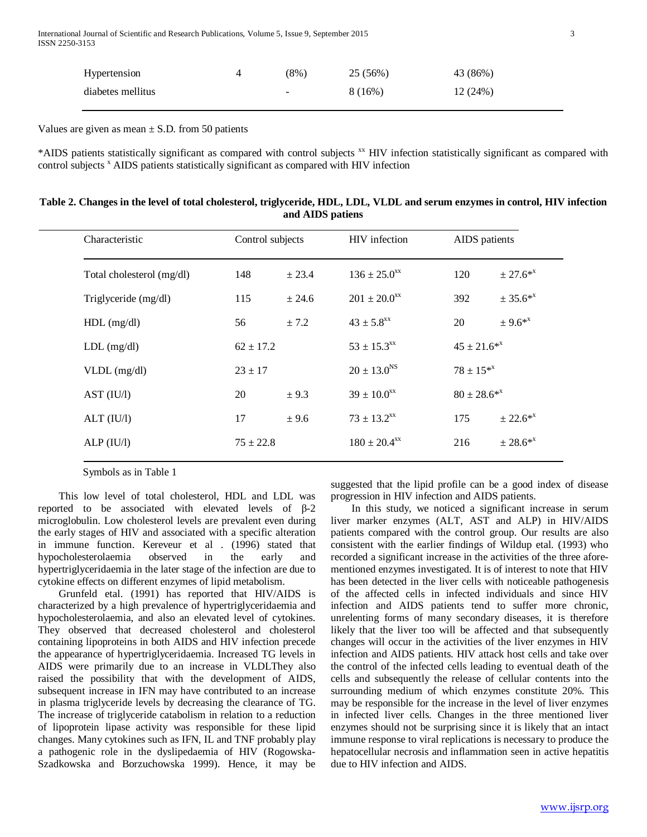International Journal of Scientific and Research Publications, Volume 5, Issue 9, September 2015 3 ISSN 2250-3153

| Hypertension      | $(8\%)$                  | 25 (56%) | 43 (86%) |
|-------------------|--------------------------|----------|----------|
| diabetes mellitus | $\overline{\phantom{a}}$ | 8(16%)   | 12(24%)  |

Values are given as mean  $\pm$  S.D. from 50 patients

\*AIDS patients statistically significant as compared with control subjects xx HIV infection statistically significant as compared with control subjects <sup>x</sup> AIDS patients statistically significant as compared with HIV infection

| Table 2. Changes in the level of total cholesterol, triglyceride, HDL, LDL, VLDL and serum enzymes in control, HIV infection |  |
|------------------------------------------------------------------------------------------------------------------------------|--|
| and AIDS patiens                                                                                                             |  |

| Characteristic            | Control subjects |        | <b>HIV</b> infection         | AIDS patients      |            |
|---------------------------|------------------|--------|------------------------------|--------------------|------------|
| Total cholesterol (mg/dl) | 148              | ± 23.4 | $136 \pm 25.0$ <sup>xx</sup> | 120                | $± 27.6**$ |
| Triglyceride (mg/dl)      | 115              | ± 24.6 | $201 \pm 20.0$ <sup>xx</sup> | 392                | $± 35.6**$ |
| $HDL$ (mg/dl)             | 56               | ± 7.2  | $43 \pm 5.8$ <sup>xx</sup>   | 20                 | $± 9.6**$  |
| $LDL$ (mg/dl)             | $62 \pm 17.2$    |        | $53 \pm 15.3$ <sup>xx</sup>  | $45 \pm 21.6^{*x}$ |            |
| $VLDL$ (mg/dl)            | $23 \pm 17$      |        | $20 \pm 13.0$ <sup>NS</sup>  | $78 \pm 15^{*x}$   |            |
| AST (IU/l)                | 20               | ± 9.3  | $39 \pm 10.0^{xx}$           | $80 \pm 28.6^{*x}$ |            |
| ALT (IU/l)                | 17               | ± 9.6  | $73 \pm 13.2$ <sup>xx</sup>  | 175                | $± 22.6**$ |
| ALP (IU/l)                | $75 \pm 22.8$    |        | $180 \pm 20.4$ <sup>xx</sup> | 216                | $± 28.6**$ |
|                           |                  |        |                              |                    |            |

Symbols as in Table 1

 This low level of total cholesterol, HDL and LDL was reported to be associated with elevated levels of β-2 microglobulin. Low cholesterol levels are prevalent even during the early stages of HIV and associated with a specific alteration in immune function. Kereveur et al . (1996) stated that hypocholesterolaemia observed in the early and hypertriglyceridaemia in the later stage of the infection are due to cytokine effects on different enzymes of lipid metabolism.

 Grunfeld etal. (1991) has reported that HIV/AIDS is characterized by a high prevalence of hypertriglyceridaemia and hypocholesterolaemia, and also an elevated level of cytokines. They observed that decreased cholesterol and cholesterol containing lipoproteins in both AIDS and HIV infection precede the appearance of hypertriglyceridaemia. Increased TG levels in AIDS were primarily due to an increase in VLDLThey also raised the possibility that with the development of AIDS, subsequent increase in IFN may have contributed to an increase in plasma triglyceride levels by decreasing the clearance of TG. The increase of triglyceride catabolism in relation to a reduction of lipoprotein lipase activity was responsible for these lipid changes. Many cytokines such as IFN, IL and TNF probably play a pathogenic role in the dyslipedaemia of HIV (Rogowska-Szadkowska and Borzuchowska 1999). Hence, it may be

suggested that the lipid profile can be a good index of disease progression in HIV infection and AIDS patients.

 In this study, we noticed a significant increase in serum liver marker enzymes (ALT, AST and ALP) in HIV/AIDS patients compared with the control group. Our results are also consistent with the earlier findings of Wildup etal. (1993) who recorded a significant increase in the activities of the three aforementioned enzymes investigated. It is of interest to note that HIV has been detected in the liver cells with noticeable pathogenesis of the affected cells in infected individuals and since HIV infection and AIDS patients tend to suffer more chronic, unrelenting forms of many secondary diseases, it is therefore likely that the liver too will be affected and that subsequently changes will occur in the activities of the liver enzymes in HIV infection and AIDS patients. HIV attack host cells and take over the control of the infected cells leading to eventual death of the cells and subsequently the release of cellular contents into the surrounding medium of which enzymes constitute 20%. This may be responsible for the increase in the level of liver enzymes in infected liver cells. Changes in the three mentioned liver enzymes should not be surprising since it is likely that an intact immune response to viral replications is necessary to produce the hepatocellular necrosis and inflammation seen in active hepatitis due to HIV infection and AIDS.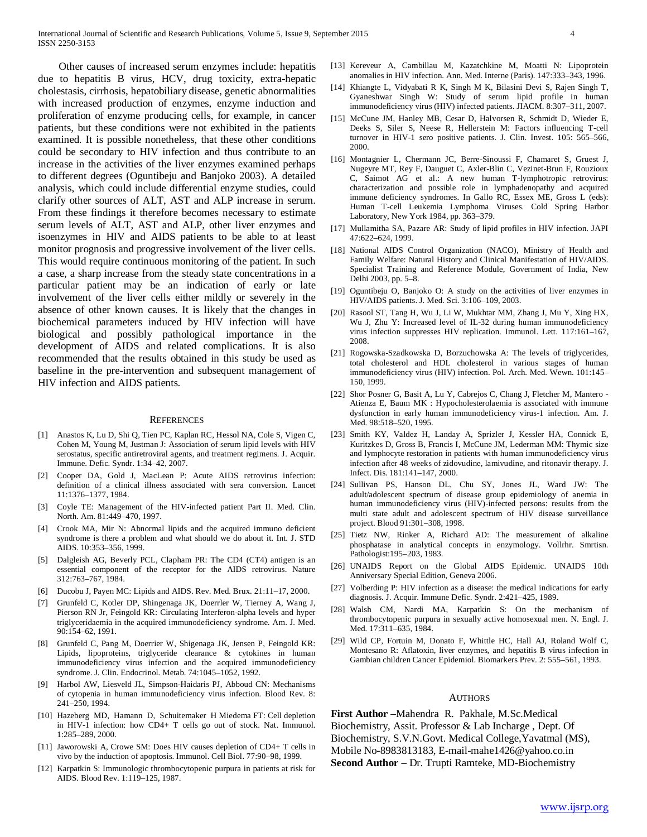Other causes of increased serum enzymes include: hepatitis due to hepatitis B virus, HCV, drug toxicity, extra-hepatic cholestasis, cirrhosis, hepatobiliary disease, genetic abnormalities with increased production of enzymes, enzyme induction and proliferation of enzyme producing cells, for example, in cancer patients, but these conditions were not exhibited in the patients examined. It is possible nonetheless, that these other conditions could be secondary to HIV infection and thus contribute to an increase in the activities of the liver enzymes examined perhaps to different degrees (Oguntibeju and Banjoko 2003). A detailed analysis, which could include differential enzyme studies, could clarify other sources of ALT, AST and ALP increase in serum. From these findings it therefore becomes necessary to estimate serum levels of ALT, AST and ALP, other liver enzymes and isoenzymes in HIV and AIDS patients to be able to at least monitor prognosis and progressive involvement of the liver cells. This would require continuous monitoring of the patient. In such a case, a sharp increase from the steady state concentrations in a particular patient may be an indication of early or late involvement of the liver cells either mildly or severely in the absence of other known causes. It is likely that the changes in biochemical parameters induced by HIV infection will have biological and possibly pathological importance in the development of AIDS and related complications. It is also recommended that the results obtained in this study be used as baseline in the pre-intervention and subsequent management of HIV infection and AIDS patients.

#### **REFERENCES**

- [1] Anastos K, Lu D, Shi Q, Tien PC, Kaplan RC, Hessol NA, Cole S, Vigen C, Cohen M, Young M, Justman J: Association of serum lipid levels with HIV serostatus, specific antiretroviral agents, and treatment regimens. J. Acquir. Immune. Defic. Syndr. 1:34–42, 2007.
- [2] Cooper DA, Gold J, MacLean P: Acute AIDS retrovirus infection: definition of a clinical illness associated with sera conversion. Lancet 11:1376–1377, 1984.
- [3] Coyle TE: Management of the HIV-infected patient Part II. Med. Clin. North. Am. 81:449–470, 1997.
- [4] Crook MA, Mir N: Abnormal lipids and the acquired immuno deficient syndrome is there a problem and what should we do about it. Int. J. STD AIDS. 10:353–356, 1999.
- [5] Dalgleish AG, Beverly PCL, Clapham PR: The CD4 (CT4) antigen is an essential component of the receptor for the AIDS retrovirus. Nature 312:763–767, 1984.
- [6] Ducobu J, Payen MC: Lipids and AIDS. Rev. Med. Brux. 21:11–17, 2000.
- [7] Grunfeld C, Kotler DP, Shingenaga JK, Doerrler W, Tierney A, Wang J, Pierson RN Jr, Feingold KR: Circulating Interferon-alpha levels and hyper triglyceridaemia in the acquired immunodeficiency syndrome. Am. J. Med. 90:154–62, 1991.
- [8] Grunfeld C, Pang M, Doerrier W, Shigenaga JK, Jensen P, Feingold KR: Lipids, lipoproteins, triglyceride clearance & cytokines in human immunodeficiency virus infection and the acquired immunodeficiency syndrome. J. Clin. Endocrinol. Metab. 74:1045–1052, 1992.
- [9] Harbol AW, Liesveld JL, Simpson-Haidaris PJ, Abboud CN: Mechanisms of cytopenia in human immunodeficiency virus infection. Blood Rev. 8: 241–250, 1994.
- [10] Hazeberg MD, Hamann D, Schuitemaker H Miedema FT: Cell depletion in HIV-1 infection: how CD4+ T cells go out of stock. Nat. Immunol. 1:285–289, 2000.
- [11] Jaworowski A, Crowe SM: Does HIV causes depletion of CD4+ T cells in vivo by the induction of apoptosis. Immunol. Cell Biol. 77:90–98, 1999.
- [12] Karpatkin S: Immunologic thrombocytopenic purpura in patients at risk for AIDS. Blood Rev. 1:119–125, 1987.
- [13] Kereveur A, Cambillau M, Kazatchkine M, Moatti N: Lipoprotein anomalies in HIV infection. Ann. Med. Interne (Paris). 147:333–343, 1996.
- [14] Khiangte L, Vidyabati R K, Singh M K, Bilasini Devi S, Rajen Singh T, Gyaneshwar Singh W: Study of serum lipid profile in human immunodeficiency virus (HIV) infected patients. JIACM. 8:307–311, 2007.
- [15] McCune JM, Hanley MB, Cesar D, Halvorsen R, Schmidt D, Wieder E, Deeks S, Siler S, Neese R, Hellerstein M: Factors influencing T-cell turnover in HIV-1 sero positive patients. J. Clin. Invest. 105: 565–566, 2000.
- [16] Montagnier L, Chermann JC, Berre-Sinoussi F, Chamaret S, Gruest J, Nugeyre MT, Rey F, Dauguet C, Axler-Blin C, Vezinet-Brun F, Rouzioux C, Saimot AG et al.: A new human T-lymphotropic retrovirus: characterization and possible role in lymphadenopathy and acquired immune deficiency syndromes. In Gallo RC, Essex ME, Gross L (eds): Human T-cell Leukemia Lymphoma Viruses. Cold Spring Harbor Laboratory, New York 1984, pp. 363–379.
- [17] Mullamitha SA, Pazare AR: Study of lipid profiles in HIV infection. JAPI 47:622–624, 1999.
- [18] National AIDS Control Organization (NACO), Ministry of Health and Family Welfare: Natural History and Clinical Manifestation of HIV/AIDS. Specialist Training and Reference Module, Government of India, New Delhi 2003, pp. 5–8.
- [19] Oguntibeju O, Banjoko O: A study on the activities of liver enzymes in HIV/AIDS patients. J. Med. Sci. 3:106–109, 2003.
- [20] Rasool ST, Tang H, Wu J, Li W, Mukhtar MM, Zhang J, Mu Y, Xing HX, Wu J, Zhu Y: Increased level of IL-32 during human immunodeficiency virus infection suppresses HIV replication. Immunol. Lett. 117:161–167, 2008.
- [21] Rogowska-Szadkowska D, Borzuchowska A: The levels of triglycerides, total cholesterol and HDL cholesterol in various stages of human immunodeficiency virus (HIV) infection. Pol. Arch. Med. Wewn. 101:145– 150, 1999.
- [22] Shor Posner G, Basit A, Lu Y, Cabrejos C, Chang J, Fletcher M, Mantero Atienza E, Baum MK : Hypocholesterolaemia is associated with immune dysfunction in early human immunodeficiency virus-1 infection. Am. J. Med. 98:518–520, 1995.
- [23] Smith KY, Valdez H, Landay A, Sprizler J, Kessler HA, Connick E, Kuritzkes D, Gross B, Francis I, McCune JM, Lederman MM: Thymic size and lymphocyte restoration in patients with human immunodeficiency virus infection after 48 weeks of zidovudine, lamivudine, and ritonavir therapy. J. Infect. Dis. 181:141–147, 2000.
- [24] Sullivan PS, Hanson DL, Chu SY, Jones JL, Ward JW: The adult/adolescent spectrum of disease group epidemiology of anemia in human immunodeficiency virus (HIV)-infected persons: results from the multi state adult and adolescent spectrum of HIV disease surveillance project. Blood 91:301–308, 1998.
- [25] Tietz NW, Rinker A, Richard AD: The measurement of alkaline phosphatase in analytical concepts in enzymology. Vollrhr. Smrtisn. Pathologist:195–203, 1983.
- [26] UNAIDS Report on the Global AIDS Epidemic. UNAIDS 10th Anniversary Special Edition, Geneva 2006.
- [27] Volberding P: HIV infection as a disease: the medical indications for early diagnosis. J. Acquir. Immune Defic. Syndr. 2:421–425, 1989.
- [28] Walsh CM, Nardi MA, Karpatkin S: On the mechanism of thrombocytopenic purpura in sexually active homosexual men. N. Engl. J. Med. 17:311–635, 1984.
- [29] Wild CP, Fortuin M, Donato F, Whittle HC, Hall AJ, Roland Wolf C, Montesano R: Aflatoxin, liver enzymes, and hepatitis B virus infection in Gambian children Cancer Epidemiol. Biomarkers Prev. 2: 555–561, 1993.

#### **AUTHORS**

**First Author** –Mahendra R. Pakhale, M.Sc.Medical Biochemistry, Assit. Professor & Lab Incharge , Dept. Of Biochemistry, S.V.N.Govt. Medical College,Yavatmal (MS), Mobile No-8983813183, E-mail-mahe1426@yahoo.co.in **Second Author** – Dr. Trupti Ramteke, MD-Biochemistry